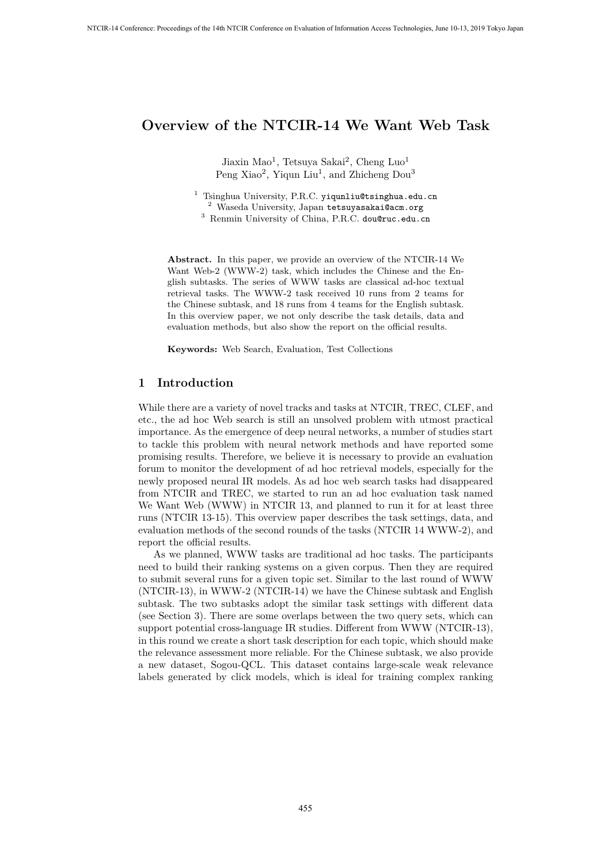Jiaxin Mao<sup>1</sup>, Tetsuya Sakai<sup>2</sup>, Cheng Luo<sup>1</sup> Peng Xiao<sup>2</sup>, Yiqun Liu<sup>1</sup>, and Zhicheng Dou<sup>3</sup>

<sup>1</sup> Tsinghua University, P.R.C. yiqunliu@tsinghua.edu.cn  $2$  Waseda University, Japan tetsuyasakai@acm.org <sup>3</sup> Renmin University of China, P.R.C. dou@ruc.edu.cn

**Abstract.** In this paper, we provide an overview of the NTCIR-14 We Want Web-2 (WWW-2) task, which includes the Chinese and the English subtasks. The series of WWW tasks are classical ad-hoc textual retrieval tasks. The WWW-2 task received 10 runs from 2 teams for the Chinese subtask, and 18 runs from 4 teams for the English subtask. In this overview paper, we not only describe the task details, data and evaluation methods, but also show the report on the official results.

**Keywords:** Web Search, Evaluation, Test Collections

### **1 Introduction**

While there are a variety of novel tracks and tasks at NTCIR, TREC, CLEF, and etc., the ad hoc Web search is still an unsolved problem with utmost practical importance. As the emergence of deep neural networks, a number of studies start to tackle this problem with neural network methods and have reported some promising results. Therefore, we believe it is necessary to provide an evaluation forum to monitor the development of ad hoc retrieval models, especially for the newly proposed neural IR models. As ad hoc web search tasks had disappeared from NTCIR and TREC, we started to run an ad hoc evaluation task named We Want Web (WWW) in NTCIR 13, and planned to run it for at least three runs (NTCIR 13-15). This overview paper describes the task settings, data, and evaluation methods of the second rounds of the tasks (NTCIR 14 WWW-2), and report the official results.

As we planned, WWW tasks are traditional ad hoc tasks. The participants need to build their ranking systems on a given corpus. Then they are required to submit several runs for a given topic set. Similar to the last round of WWW (NTCIR-13), in WWW-2 (NTCIR-14) we have the Chinese subtask and English subtask. The two subtasks adopt the similar task settings with different data (see Section 3). There are some overlaps between the two query sets, which can support potential cross-language IR studies. Different from WWW (NTCIR-13), in this round we create a short task description for each topic, which should make the relevance assessment more reliable. For the Chinese subtask, we also provide a new dataset, Sogou-QCL. This dataset contains large-scale weak relevance labels generated by click models, which is ideal for training complex ranking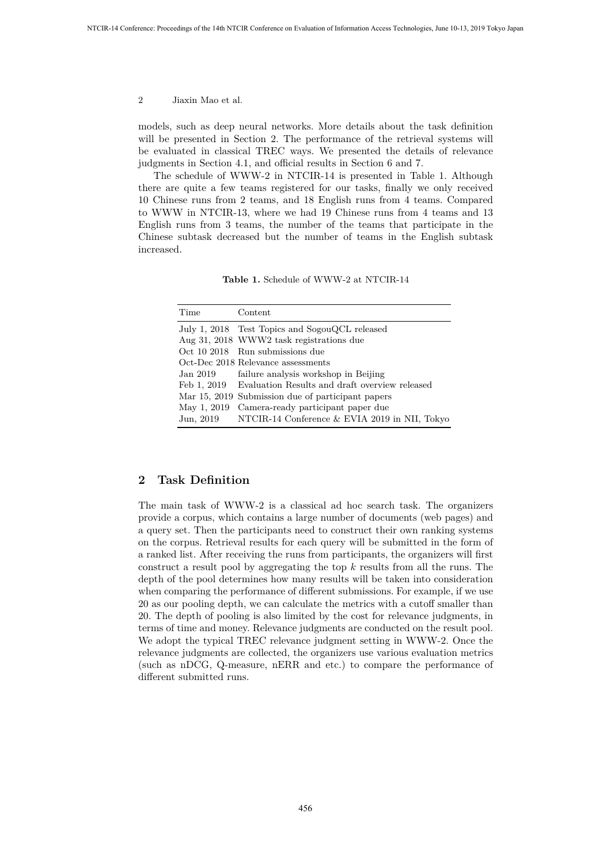models, such as deep neural networks. More details about the task definition will be presented in Section 2. The performance of the retrieval systems will be evaluated in classical TREC ways. We presented the details of relevance judgments in Section 4.1, and official results in Section 6 and 7.

The schedule of WWW-2 in NTCIR-14 is presented in Table 1. Although there are quite a few teams registered for our tasks, finally we only received 10 Chinese runs from 2 teams, and 18 English runs from 4 teams. Compared to WWW in NTCIR-13, where we had 19 Chinese runs from 4 teams and 13 English runs from 3 teams, the number of the teams that participate in the Chinese subtask decreased but the number of teams in the English subtask increased.

**Table 1.** Schedule of WWW-2 at NTCIR-14

| Time        | Content                                                    |
|-------------|------------------------------------------------------------|
|             | July 1, 2018 Test Topics and SogouQCL released             |
|             | Aug 31, 2018 WWW2 task registrations due                   |
|             | Oct 10 2018 Run submissions due                            |
|             | Oct-Dec 2018 Relevance assessments                         |
| Jan 2019    | failure analysis workshop in Beijing                       |
|             | Feb 1, 2019 Evaluation Results and draft overview released |
|             | Mar 15, 2019 Submission due of participant papers          |
| May 1, 2019 | Camera-ready participant paper due                         |
| Jun, 2019   | NTCIR-14 Conference & EVIA 2019 in NII, Tokyo              |

### **2 Task Definition**

The main task of WWW-2 is a classical ad hoc search task. The organizers provide a corpus, which contains a large number of documents (web pages) and a query set. Then the participants need to construct their own ranking systems on the corpus. Retrieval results for each query will be submitted in the form of a ranked list. After receiving the runs from participants, the organizers will first construct a result pool by aggregating the top *k* results from all the runs. The depth of the pool determines how many results will be taken into consideration when comparing the performance of different submissions. For example, if we use 20 as our pooling depth, we can calculate the metrics with a cutoff smaller than 20. The depth of pooling is also limited by the cost for relevance judgments, in terms of time and money. Relevance judgments are conducted on the result pool. We adopt the typical TREC relevance judgment setting in WWW-2. Once the relevance judgments are collected, the organizers use various evaluation metrics (such as nDCG, Q-measure, nERR and etc.) to compare the performance of different submitted runs.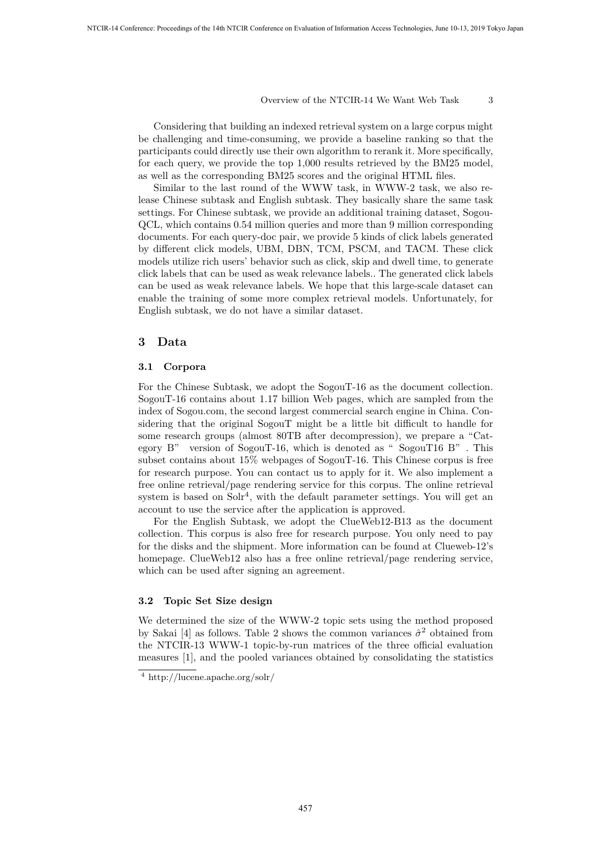Considering that building an indexed retrieval system on a large corpus might be challenging and time-consuming, we provide a baseline ranking so that the participants could directly use their own algorithm to rerank it. More specifically, for each query, we provide the top 1,000 results retrieved by the BM25 model, as well as the corresponding BM25 scores and the original HTML files.

Similar to the last round of the WWW task, in WWW-2 task, we also release Chinese subtask and English subtask. They basically share the same task settings. For Chinese subtask, we provide an additional training dataset, Sogou-QCL, which contains 0.54 million queries and more than 9 million corresponding documents. For each query-doc pair, we provide 5 kinds of click labels generated by different click models, UBM, DBN, TCM, PSCM, and TACM. These click models utilize rich users' behavior such as click, skip and dwell time, to generate click labels that can be used as weak relevance labels.. The generated click labels can be used as weak relevance labels. We hope that this large-scale dataset can enable the training of some more complex retrieval models. Unfortunately, for English subtask, we do not have a similar dataset.

### **3 Data**

#### **3.1 Corpora**

For the Chinese Subtask, we adopt the SogouT-16 as the document collection. SogouT-16 contains about 1.17 billion Web pages, which are sampled from the index of Sogou.com, the second largest commercial search engine in China. Considering that the original SogouT might be a little bit difficult to handle for some research groups (almost 80TB after decompression), we prepare a "Category B" version of SogouT-16, which is denoted as " $SogouT16 B"$ . This subset contains about 15% webpages of SogouT-16. This Chinese corpus is free for research purpose. You can contact us to apply for it. We also implement a free online retrieval/page rendering service for this corpus. The online retrieval system is based on  $S\ddot{o}h^4$ , with the default parameter settings. You will get an account to use the service after the application is approved.

For the English Subtask, we adopt the ClueWeb12-B13 as the document collection. This corpus is also free for research purpose. You only need to pay for the disks and the shipment. More information can be found at Clueweb-12's homepage. ClueWeb12 also has a free online retrieval/page rendering service, which can be used after signing an agreement.

### **3.2 Topic Set Size design**

We determined the size of the WWW-2 topic sets using the method proposed by Sakai [4] as follows. Table 2 shows the common variances  $\hat{\sigma}^2$  obtained from the NTCIR-13 WWW-1 topic-by-run matrices of the three official evaluation measures [1], and the pooled variances obtained by consolidating the statistics

<sup>4</sup> http://lucene.apache.org/solr/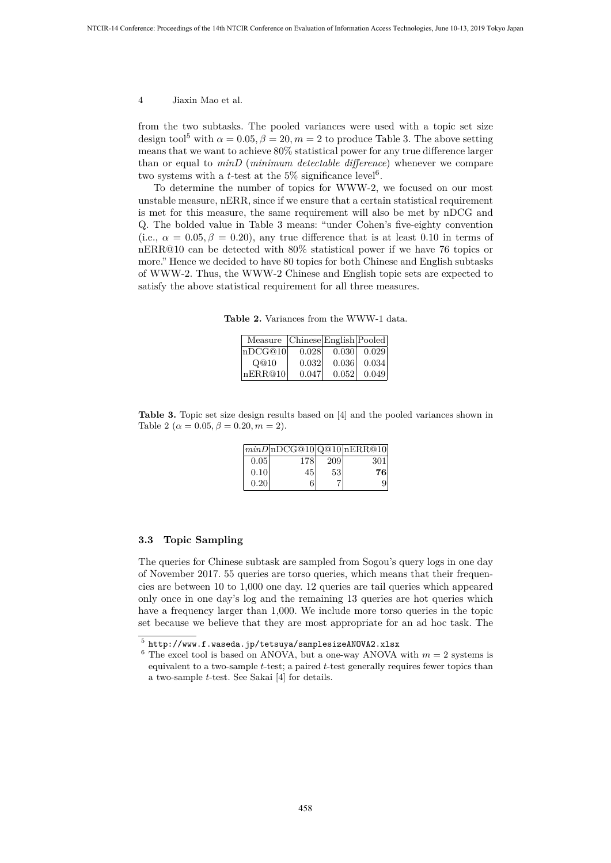from the two subtasks. The pooled variances were used with a topic set size design tool<sup>5</sup> with  $\alpha = 0.05$ ,  $\beta = 20$ ,  $m = 2$  to produce Table 3. The above setting means that we want to achieve 80% statistical power for any true difference larger than or equal to *minD* (*minimum detectable difference*) whenever we compare two systems with a *t*-test at the  $5\%$  significance level<sup>6</sup>.

To determine the number of topics for WWW-2, we focused on our most unstable measure, nERR, since if we ensure that a certain statistical requirement is met for this measure, the same requirement will also be met by nDCG and Q. The bolded value in Table 3 means: "under Cohen's five-eighty convention (i.e.,  $\alpha = 0.05, \beta = 0.20$ ), any true difference that is at least 0.10 in terms of nERR@10 can be detected with 80% statistical power if we have 76 topics or more." Hence we decided to have 80 topics for both Chinese and English subtasks of WWW-2. Thus, the WWW-2 Chinese and English topic sets are expected to satisfy the above statistical requirement for all three measures.

**Table 2.** Variances from the WWW-1 data.

| Measure Chinese English Pooled |       |       |       |
|--------------------------------|-------|-------|-------|
| lnDCG@10                       | 0.028 | 0.030 | 0.029 |
| O@10                           | 0.032 | 0.036 | 0.034 |
| nERR@10                        | 0.047 | 0.052 | 0.049 |

**Table 3.** Topic set size design results based on [4] and the pooled variances shown in Table 2 ( $\alpha = 0.05, \beta = 0.20, m = 2$ ).

|       | $\vert minD \vert nDCG@10 \vert Q@10 \vert nERR@10 \vert$ |     |     |
|-------|-----------------------------------------------------------|-----|-----|
| 0.05  | 178                                                       | 209 | 301 |
| 0.10  | 45'                                                       | 53  | 76  |
| 0.201 | 6                                                         |     |     |

### **3.3 Topic Sampling**

The queries for Chinese subtask are sampled from Sogou's query logs in one day of November 2017. 55 queries are torso queries, which means that their frequencies are between 10 to 1,000 one day. 12 queries are tail queries which appeared only once in one day's log and the remaining 13 queries are hot queries which have a frequency larger than 1,000. We include more torso queries in the topic set because we believe that they are most appropriate for an ad hoc task. The

 $^5$  http://www.f.waseda.jp/tetsuya/samplesizeANOVA2.xlsx

 $6$  The excel tool is based on ANOVA, but a one-way ANOVA with  $m = 2$  systems is equivalent to a two-sample *t*-test; a paired *t*-test generally requires fewer topics than a two-sample *t*-test. See Sakai [4] for details.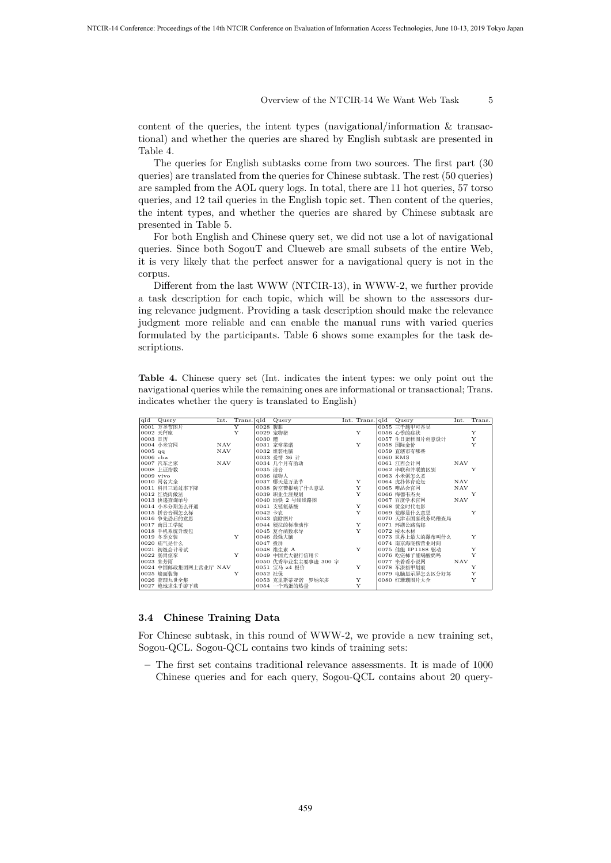content of the queries, the intent types (navigational/information  $\&$  transactional) and whether the queries are shared by English subtask are presented in Table 4.

The queries for English subtasks come from two sources. The first part (30 queries) are translated from the queries for Chinese subtask. The rest (50 queries) are sampled from the AOL query logs. In total, there are 11 hot queries, 57 torso queries, and 12 tail queries in the English topic set. Then content of the queries, the intent types, and whether the queries are shared by Chinese subtask are presented in Table 5.

For both English and Chinese query set, we did not use a lot of navigational queries. Since both SogouT and Clueweb are small subsets of the entire Web, it is very likely that the perfect answer for a navigational query is not in the corpus.

Different from the last WWW (NTCIR-13), in WWW-2, we further provide a task description for each topic, which will be shown to the assessors during relevance judgment. Providing a task description should make the relevance judgment more reliable and can enable the manual runs with varied queries formulated by the participants. Table 6 shows some examples for the task descriptions.

**Table 4.** Chinese query set (Int. indicates the intent types: we only point out the navigational queries while the remaining ones are informational or transactional; Trans. indicates whether the query is translated to English)

|             | qid Query            |            | $Int.$ Trans.   qid |         | Query                   |              | Int. Trans. qid Query | Int.       | Trans.       |
|-------------|----------------------|------------|---------------------|---------|-------------------------|--------------|-----------------------|------------|--------------|
|             | 0001 万圣节图片           |            | Y                   | 0028 腹胀 |                         |              | 0055 三千越甲可吞吴          |            |              |
|             | 0002 天秤座             |            | Y                   |         | 0029 宠物猪                | Y            | 0056 心悸的症状            |            | Y            |
| 0003 日历     |                      |            |                     | 0030 醴  |                         |              | 0057 生日蛋糕图片创意设计       |            | Y            |
|             | 0004 小米官网            | NAV        |                     |         | 0031 家常菜谱               | Y            | 0058 国际金价             |            | $\mathbf{v}$ |
| $0005$ qq   |                      | NAV        |                     |         | 0032 组装电脑               |              | 0059 直辖市有哪些           |            |              |
| $0006$ cba  |                      |            |                     |         | 0033 爱情 36 计            |              | 0060 EMS              |            |              |
|             | 0007 汽车之家            | <b>NAV</b> |                     |         | 0034 几个月有胎动             |              | 0061 江西会计网            | <b>NAV</b> |              |
|             | 0008 上证指数            |            |                     | 0035 谐音 |                         |              | 0062 串联和并联的区别         |            | Y            |
| $0009$ vivo |                      |            |                     |         | 0036 植物人<br>0037 哪天是万圣节 |              | 0063 小米粥怎么煮           |            |              |
|             | 0010 网名大全            |            |                     |         |                         | $\mathbf{Y}$ | 0064 虎扑体育论坛<br>NAV    |            |              |
|             | 0011 科目三通过率下降        |            |                     |         | 0038 防空警报响了什么意思         | $\mathbf{Y}$ | 0065 唯品会官网            | <b>NAV</b> |              |
|             | 0012 红烧肉做法           |            |                     |         | 0039 职业生涯规划             | Y            | 0066 梅德韦杰夫            |            | Y            |
|             | 0013 快递查询单号          |            |                     |         | 0040 地铁 2 号线线路图         |              | 0067 百度学术官网           | <b>NAV</b> |              |
|             | 0014 小米分期怎么开通        |            |                     |         | 0041 支链氨基酸              | Y            | 0068 黄金时代电影           |            |              |
|             | 0015 拼音音调怎么标         |            |                     | 0042 卡农 |                         | Y            | 0069 荒缪是什么意思          |            | Y            |
|             | 0016 争先恐后的意思         |            |                     |         | 0043 鹿晗图片               |              | 0070 天津市国家税务局稽查局      |            |              |
|             | 0017 南昌工学院           |            |                     |         | 0044 硬拉的标准动作            | $\mathbf{Y}$ | 0071 环湖公路高邮           |            |              |
|             | 0018 手机系统升级包         |            |                     |         | 0045 复合函数求导             | Y            | 0072 桉木木材             |            |              |
|             | 0019 冬季女装            |            | $\mathbf{Y}$        |         | 0046 最强大脑               |              | 0073 世界上最大的瀑布叫什么      |            | Y            |
|             | 0020 疝气是什么           |            |                     | 0047 投屏 |                         |              | 0074 南京海底捞营业时间        |            |              |
|             | 0021 初级会计考试          |            |                     |         | 0048 维生素 A              | Y            | 0075 佳能 IP1188 驱动     |            | Y            |
|             | 0022 肠胃痉挛            |            | Y                   |         | 0049 中国光大银行信用卡          |              | 0076 吃完柿子能喝酸奶吗        |            | Y            |
|             | 0023 朱芳雨             |            |                     |         | 0050 优秀毕业生主要事迹 300 字    |              | 0077 坐着看小说网           | <b>NAV</b> |              |
|             | 0024 中国邮政集团网上营业厅 NAV |            |                     |         | 0051 宝马 z4 报价           | Y            | 0078 车漆指甲划痕           |            | Y            |
|             | 0025 墙面装饰            |            | Y                   | 0052 社保 |                         |              | 0079 电脑显示屏怎么区分好坏      |            | Y            |
|             | 0026 查理九世全集          |            |                     |         | 0053 克里斯蒂亚诺 · 罗纳尔多      | Y            | 0080 红珊瑚图片大全          |            | Y            |
|             | 0027 绝地求生手游下载        |            |                     |         | 0054 一个鸡蛋的热量            | Y            |                       |            |              |

### **3.4 Chinese Training Data**

For Chinese subtask, in this round of WWW-2, we provide a new training set, Sogou-QCL. Sogou-QCL contains two kinds of training sets:

**–** The first set contains traditional relevance assessments. It is made of 1000 Chinese queries and for each query, Sogou-QCL contains about 20 query-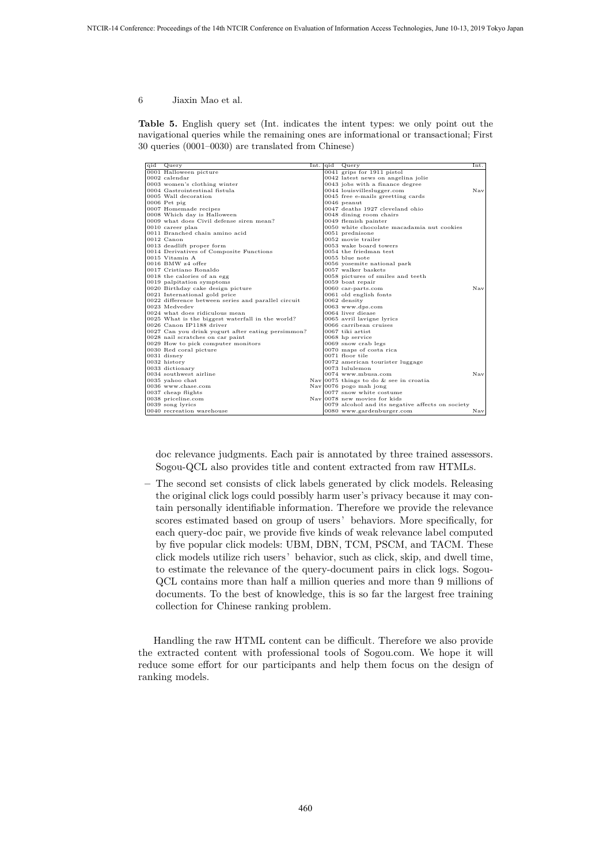$0001 \text{ Halower} \\\text{non-1} \\\text{non-2} \\\text{non-3} \\\text{non-4} \\\text{non-5} \\\text{non-6} \\\text{non-7} \\\text{non-8} \\\text{non-8} \\\text{non-9} \\\text{non-1} \\\text{non-1} \\\text{non-1} \\\text{non-1} \\\text{non-1} \\\text{non-1} \\\text{non-1} \\\text{non-1} \\\text{non-1} \\\text{non-1} \\\text{non-1} \\\text{non-1} \\\text{non-1} \\\text{non-1} \\\text{non-1} \\\text{non-1} \\\$ 0005 wan asset<br>0006 Pet pig<br>0007 Homemade recipes  $0046$  peanut<br> $0047$  deaths 1927 cleveland ohio 0008 Which day is Halloween 0048 dining room chairs 0009 what does Civil defense siren mean? 0049 flemish painter 0047 deaths 1927 ceverand onto<br>0048 dining room chairs<br>0049 flemish painter<br>0050 white chocolate macadamia nut cookies<br>0051 prednisone 0011 Branched chain amino acid 0051 prednisone 0012 Canon<br>
0013 deadlift proper form the control of the control of the control of the control of the control of the control of the control of the control of the control of the control of the control of the control of the 0013 deadlift proper form<br>0014 Derivatives of Composite Functions<br>0054 the friedman test 0014 Derivatives of Composite Functions 0054 the friedman test 0015 Vitamin A 0055 blue note 0016 BMW z4 offer 0056 yosemite national park 0017 Cristiano Ronaldo 0057 walker baskets 0018 the calories of an egg 0058 pictures of smiles and teeth 0019 palpitation symptoms 0059 boat repair 0020 Birthday cake design picture 0060 car-parts.com Nav 0021 International gold price  $0022$  difference between series and parallel circuit  $0062$  density 0023 Medvedev 0024 what does ridiculous mean 0063 www.dps.com<br>0025 What is the biggest waterfall in the world? 0065 avril lavigne lyrics<br>0026 Canon IP1188 driver 0066 carribean cruises 0027 Can you drink yogurt after eating persimmon? 0067 tiki artist 0028 nail scratches on car paint 0068 hp service 0029 How to pick computer monitors 0069 snow crab legs 0030 Red coral picture 0070 maps of costa rica 0031 disney 0071 floor tile 0032 history  $|0072|$  american tourister luggage 0033 dictionary 0073 lululemon 0034 southwest airline  $\begin{array}{c|c} \hline 0074 & \text{www.mbusa.com} \ \hline 0035 & \text{yahooc} \end{array}$  Nav  $\begin{array}{c|c} \hline \text{Nay} & \text{0075 things to do & \text{see in croatia} \ \hline \end{array}$ 0036 www.chase.com Nav 0076 pogo mah jong 0037 cheap flights 0077 snow white costume 0038 priceline.com Nav 0078 new movies for kids 0039 song lyrics  $0079$  alcohol and its negative affects on society<br>0040 recreation warehouse  $0080$  www.gardenburger.com Nav

**Table 5.** English query set (Int. indicates the intent types: we only point out the navigational queries while the remaining ones are informational or transactional; First 30 queries (0001–0030) are translated from Chinese)

doc relevance judgments. Each pair is annotated by three trained assessors. Sogou-QCL also provides title and content extracted from raw HTMLs.

**–** The second set consists of click labels generated by click models. Releasing the original click logs could possibly harm user's privacy because it may contain personally identifiable information. Therefore we provide the relevance scores estimated based on group of users'behaviors. More specifically, for each query-doc pair, we provide five kinds of weak relevance label computed by five popular click models: UBM, DBN, TCM, PSCM, and TACM. These click models utilize rich users'behavior, such as click, skip, and dwell time, to estimate the relevance of the query-document pairs in click logs. Sogou-QCL contains more than half a million queries and more than 9 millions of documents. To the best of knowledge, this is so far the largest free training collection for Chinese ranking problem.

Handling the raw HTML content can be difficult. Therefore we also provide the extracted content with professional tools of Sogou.com. We hope it will reduce some effort for our participants and help them focus on the design of ranking models.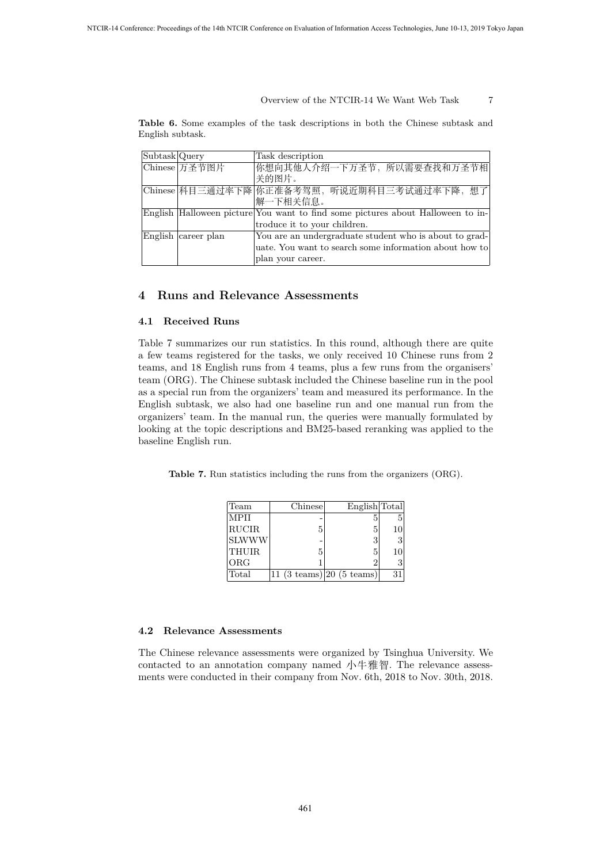**Table 6.** Some examples of the task descriptions in both the Chinese subtask and English subtask.

| Subtask Query |                     | Task description                                                                |
|---------------|---------------------|---------------------------------------------------------------------------------|
|               | Chinese 万圣节图片       | 你想向其他人介绍一下万圣节, 所以需要查找和万圣节相                                                      |
|               |                     | 关的图片。                                                                           |
|               |                     | Chinese 科目三通过率下降 你正准备考驾照, 听说近期科目三考试通过率下降, 想了                                    |
|               |                     | 解一下相关信息。                                                                        |
|               |                     | English Halloween picture You want to find some pictures about Halloween to in- |
|               |                     | troduce it to your children.                                                    |
|               | English career plan | You are an undergraduate student who is about to grad-                          |
|               |                     | uate. You want to search some information about how to                          |
|               |                     | plan your career.                                                               |

### **4 Runs and Relevance Assessments**

#### **4.1 Received Runs**

Table 7 summarizes our run statistics. In this round, although there are quite a few teams registered for the tasks, we only received 10 Chinese runs from 2 teams, and 18 English runs from 4 teams, plus a few runs from the organisers' team (ORG). The Chinese subtask included the Chinese baseline run in the pool as a special run from the organizers' team and measured its performance. In the English subtask, we also had one baseline run and one manual run from the organizers' team. In the manual run, the queries were manually formulated by looking at the topic descriptions and BM25-based reranking was applied to the baseline English run.

**Table 7.** Run statistics including the runs from the organizers (ORG).

| Team         | Chinese                                     | English Total |    |
|--------------|---------------------------------------------|---------------|----|
| MPH          |                                             | 5             |    |
| RUCIR        | 5                                           | 5             |    |
| <b>SLWWW</b> |                                             | 3             | 3  |
| <b>THUIR</b> | 5                                           | 5             | 10 |
| $_{\rm ORG}$ |                                             |               |    |
| Total        | 11 $(3 \text{ teams}) 20 (5 \text{ teams})$ |               |    |

### **4.2 Relevance Assessments**

The Chinese relevance assessments were organized by Tsinghua University. We contacted to an annotation company named 小牛雅智. The relevance assessments were conducted in their company from Nov. 6th, 2018 to Nov. 30th, 2018.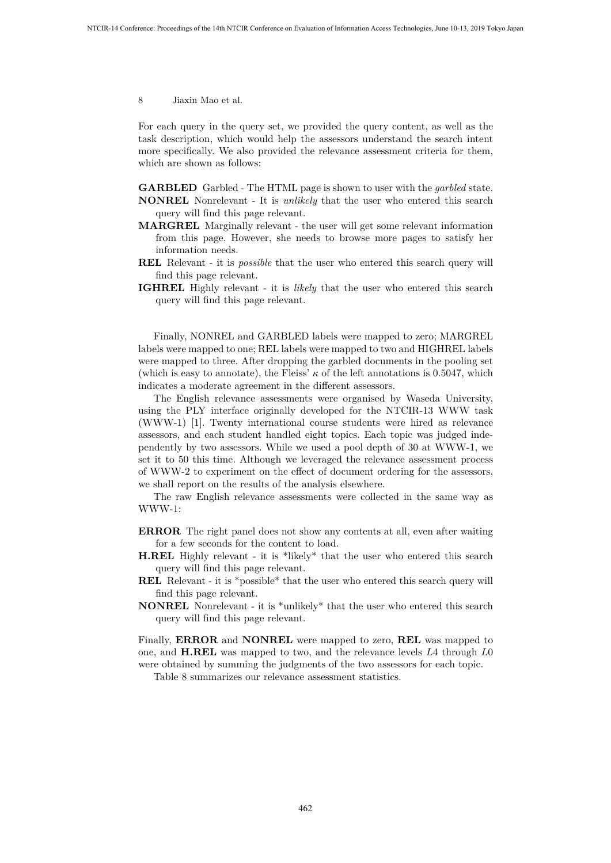For each query in the query set, we provided the query content, as well as the task description, which would help the assessors understand the search intent more specifically. We also provided the relevance assessment criteria for them, which are shown as follows:

**GARBLED** Garbled - The HTML page is shown to user with the *garbled* state. **NONREL** Nonrelevant - It is *unlikely* that the user who entered this search query will find this page relevant.

- **MARGREL** Marginally relevant the user will get some relevant information from this page. However, she needs to browse more pages to satisfy her information needs.
- **REL** Relevant it is *possible* that the user who entered this search query will find this page relevant.
- **IGHREL** Highly relevant it is *likely* that the user who entered this search query will find this page relevant.

Finally, NONREL and GARBLED labels were mapped to zero; MARGREL labels were mapped to one; REL labels were mapped to two and HIGHREL labels were mapped to three. After dropping the garbled documents in the pooling set (which is easy to annotate), the Fleiss'  $\kappa$  of the left annotations is 0.5047, which indicates a moderate agreement in the different assessors.

The English relevance assessments were organised by Waseda University, using the PLY interface originally developed for the NTCIR-13 WWW task (WWW-1) [1]. Twenty international course students were hired as relevance assessors, and each student handled eight topics. Each topic was judged independently by two assessors. While we used a pool depth of 30 at WWW-1, we set it to 50 this time. Although we leveraged the relevance assessment process of WWW-2 to experiment on the effect of document ordering for the assessors, we shall report on the results of the analysis elsewhere.

The raw English relevance assessments were collected in the same way as WWW-1:

- **ERROR** The right panel does not show any contents at all, even after waiting for a few seconds for the content to load.
- **H.REL** Highly relevant it is \*likely\* that the user who entered this search query will find this page relevant.
- **REL** Relevant it is \*possible\* that the user who entered this search query will find this page relevant.
- **NONREL** Nonrelevant it is \*unlikely\* that the user who entered this search query will find this page relevant.

Finally, **ERROR** and **NONREL** were mapped to zero, **REL** was mapped to one, and **H.REL** was mapped to two, and the relevance levels *L*4 through *L*0 were obtained by summing the judgments of the two assessors for each topic.

Table 8 summarizes our relevance assessment statistics.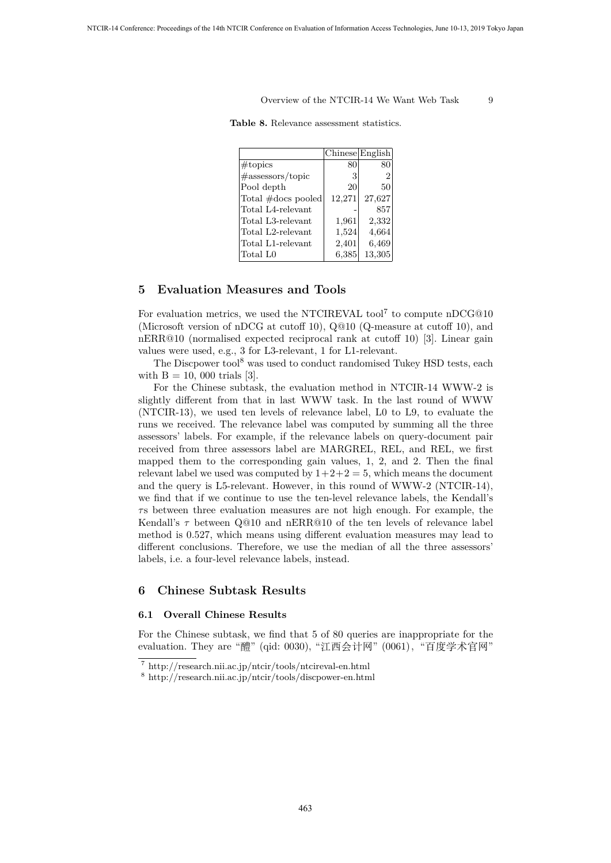|                      | Chinese English |        |
|----------------------|-----------------|--------|
| $\#\text{topics}$    | 80              | 80     |
| $\#$ assessors/topic | 3               | 2      |
| Pool depth           | 20              | 50     |
| Total #docs pooled   | 12,271          | 27,627 |
| Total L4-relevant    |                 | 857    |
| Total L3-relevant    | 1,961           | 2,332  |
| Total L2-relevant    | 1,524           | 4,664  |
| Total L1-relevant    | 2,401           | 6,469  |
| Total L0             | 6,385           | 13,305 |

## **5 Evaluation Measures and Tools**

For evaluation metrics, we used the NTCIREVAL tool<sup>7</sup> to compute nDCG@10 (Microsoft version of nDCG at cutoff 10), Q@10 (Q-measure at cutoff 10), and nERR@10 (normalised expected reciprocal rank at cutoff 10) [3]. Linear gain values were used, e.g., 3 for L3-relevant, 1 for L1-relevant.

The Discpower tool<sup>8</sup> was used to conduct randomised Tukey HSD tests, each with  $B = 10$ , 000 trials [3].

For the Chinese subtask, the evaluation method in NTCIR-14 WWW-2 is slightly different from that in last WWW task. In the last round of WWW (NTCIR-13), we used ten levels of relevance label, L0 to L9, to evaluate the runs we received. The relevance label was computed by summing all the three assessors' labels. For example, if the relevance labels on query-document pair received from three assessors label are MARGREL, REL, and REL, we first mapped them to the corresponding gain values, 1, 2, and 2. Then the final relevant label we used was computed by  $1+2+2=5$ , which means the document and the query is L5-relevant. However, in this round of WWW-2 (NTCIR-14), we find that if we continue to use the ten-level relevance labels, the Kendall's *τ* s between three evaluation measures are not high enough. For example, the Kendall's *τ* between Q@10 and nERR@10 of the ten levels of relevance label method is 0.527, which means using different evaluation measures may lead to different conclusions. Therefore, we use the median of all the three assessors' labels, i.e. a four-level relevance labels, instead.

## **6 Chinese Subtask Results**

### **6.1 Overall Chinese Results**

For the Chinese subtask, we find that 5 of 80 queries are inappropriate for the evaluation. They are "醴" (qid: 0030), "江西会计网" (0061), "百度学术官网"

<sup>7</sup> http://research.nii.ac.jp/ntcir/tools/ntcireval-en.html

<sup>8</sup> http://research.nii.ac.jp/ntcir/tools/discpower-en.html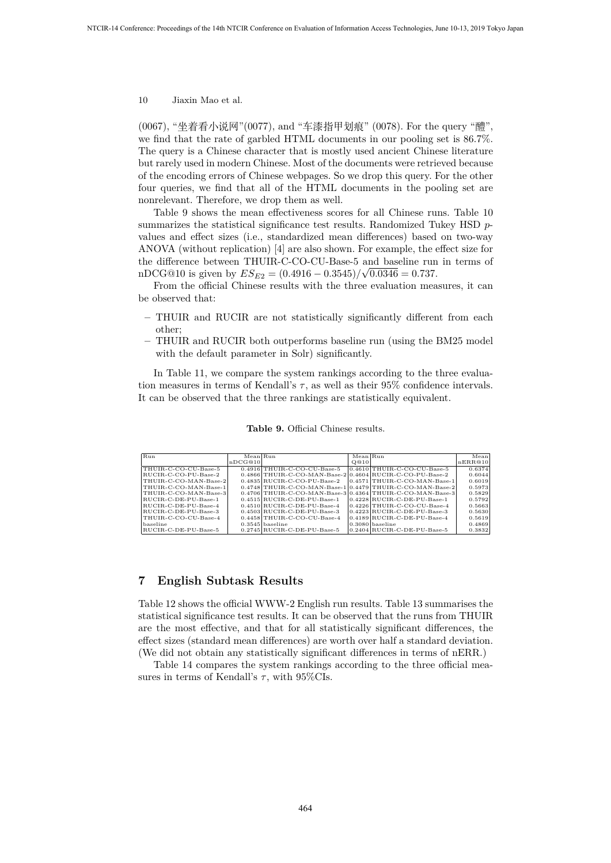(0067), "坐着看小说网"(0077), and "车漆指甲划痕" (0078). For the query "醴", we find that the rate of garbled HTML documents in our pooling set is 86.7%. The query is a Chinese character that is mostly used ancient Chinese literature but rarely used in modern Chinese. Most of the documents were retrieved because of the encoding errors of Chinese webpages. So we drop this query. For the other four queries, we find that all of the HTML documents in the pooling set are nonrelevant. Therefore, we drop them as well.

Table 9 shows the mean effectiveness scores for all Chinese runs. Table 10 summarizes the statistical significance test results. Randomized Tukey HSD *p*values and effect sizes (i.e., standardized mean differences) based on two-way ANOVA (without replication) [4] are also shown. For example, the effect size for the difference between THUIR-C-CO-CU-Base-5 and baseline run in terms of  $nDCG@10$  is given by  $ES_{E2} = (0.4916 - 0.3545)/\sqrt{0.0346} = 0.737$ .

From the official Chinese results with the three evaluation measures, it can be observed that:

- **–** THUIR and RUCIR are not statistically significantly different from each other;
- **–** THUIR and RUCIR both outperforms baseline run (using the BM25 model with the default parameter in Solr) significantly.

In Table 11, we compare the system rankings according to the three evaluation measures in terms of Kendall's  $\tau$ , as well as their 95% confidence intervals. It can be observed that the three rankings are statistically equivalent.

**Table 9.** Official Chinese results.

| Run                   | Mean Run |                                                             | Mean Run |                                                              | Mean    |
|-----------------------|----------|-------------------------------------------------------------|----------|--------------------------------------------------------------|---------|
|                       | nDCG@10  |                                                             | O@10     |                                                              | nERR@10 |
| THUIR-C-CO-CU-Base-5  |          | $0.4916$ THUIR-C-CO-CU-Base-5                               |          | $[0.4610]$ THUIR-C-CO-CU-Base-5                              | 0.6374  |
| RUCIB-C-CO-PU-Base-2  |          | $0.4866$  THUIR-C-CO-MAN-Base-2 0.4604 RUCIR-C-CO-PU-Base-2 |          |                                                              | 0.6044  |
| THUIR-C-CO-MAN-Base-2 |          | $0.4835$ RUCIB-C-CO-PU-Base-2                               |          | $[0.4571]$ THUIR-C-CO-MAN-Base-1                             | 0.6019  |
| THUIR-C-CO-MAN-Base-1 |          |                                                             |          | $0.4748$  THUIR-C-CO-MAN-Base-1 0.4479 THUIR-C-CO-MAN-Base-2 | 0.5973  |
| THUIR-C-CO-MAN-Base-3 |          |                                                             |          | $0.4706$ THUIR-C-CO-MAN-Base-3 0.4364 THUIR-C-CO-MAN-Base-3  | 0.5829  |
| RUCIB-C-DE-PU-Base-1  |          | $0.4515$ RUCIR-C-DE-PU-Base-1                               |          | $ 0.4228 $ RUCIR-C-DE-PU-Base-1                              | 0.5792  |
| RUCIB-C-DE-PU-Base-4  |          | $0.4510$ RUCIR-C-DE-PU-Base-4                               |          | $0.4226$ THUIR-C-CO-CU-Base-4                                | 0.5663  |
| RUCIR-C-DE-PU-Base-3  |          | $0.4503$ RUCIB-C-DE-PU-Base-3                               |          | $0.4223$ RUCIR-C-DE-PU-Base-3                                | 0.5630  |
| THUIR-C-CO-CU-Base-4  |          | $0.4458$  THUIR-C-CO-CU-Base-4                              |          | $0.4189$ RUCIR-C-DE-PU-Base-4                                | 0.5619  |
| baseline              |          | $0.3545$ baseline                                           |          | $0.3080$ baseline                                            | 0.4869  |
| RUCIR-C-DE-PU-Base-5  |          | $0.2745$ RUCIR-C-DE-PU-Base-5                               |          | $0.2404$ RUCIR-C-DE-PU-Base-5                                | 0.3832  |

## **7 English Subtask Results**

Table 12 shows the official WWW-2 English run results. Table 13 summarises the statistical significance test results. It can be observed that the runs from THUIR are the most effective, and that for all statistically significant differences, the effect sizes (standard mean differences) are worth over half a standard deviation. (We did not obtain any statistically significant differences in terms of nERR.)

Table 14 compares the system rankings according to the three official measures in terms of Kendall's  $\tau$ , with 95%CIs.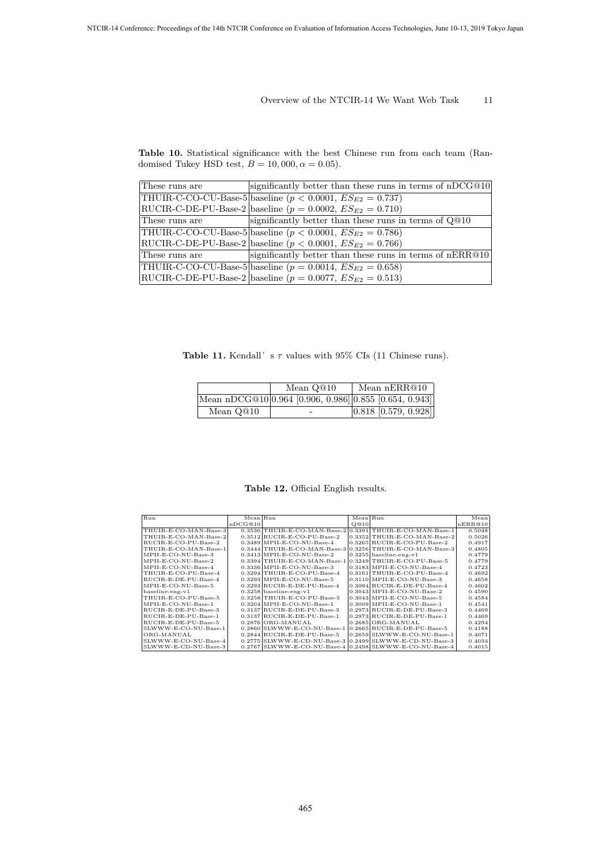**Table 10.** Statistical significance with the best Chinese run from each team (Randomised Tukey HSD test,  $B = 10,000, \alpha = 0.05$ .

| These runs are | significantly better than these runs in terms of nDCG@10           |
|----------------|--------------------------------------------------------------------|
|                | THUIR-C-CO-CU-Base-5 baseline ( $p < 0.0001$ , $ES_{E2} = 0.737$ ) |
|                | RUCIR-C-DE-PU-Base-2 baseline ( $p = 0.0002$ , $ES_{E2} = 0.710$ ) |
| These runs are | significantly better than these runs in terms of Q@10              |
|                | THUIR-C-CO-CU-Base-5 baseline ( $p < 0.0001$ , $ES_{E2} = 0.786$ ) |
|                | RUCIR-C-DE-PU-Base-2 baseline $(p < 0.0001, ES_{E2} = 0.766)$      |
| These runs are | significantly better than these runs in terms of nERR@10           |
|                | THUIR-C-CO-CU-Base-5 baseline ( $p = 0.0014$ , $ES_{E2} = 0.658$ ) |
|                | RUCIR-C-DE-PU-Base-2   baseline $(p = 0.0077, ES_{E2} = 0.513)$    |

**Table 11.** Kendall's *τ* values with 95% CIs (11 Chinese runs).

|           | Mean nERR@10<br>Mean Q@10 |                                                        |  |
|-----------|---------------------------|--------------------------------------------------------|--|
|           |                           | Mean nDCG@10 0.964 [0.906, 0.986] 0.855 [0.654, 0.943] |  |
| Mean Q@10 | -                         | $[0.818 \; [0.579, 0.928]$                             |  |

**Table 12.** Official English results.

| Run                   | Mean Run |                                                              | Mean Run |                                | Mean    |
|-----------------------|----------|--------------------------------------------------------------|----------|--------------------------------|---------|
|                       | nDCG@10  |                                                              | O@10     |                                | nERR@10 |
| THUIR-E-CO-MAN-Base-3 |          | $0.3536$  THUIR-E-CO-MAN-Base-2 0.3391 THUIR-E-CO-MAN-Base-1 |          |                                | 0.5048  |
| THUIR-E-CO-MAN-Base-2 |          | $0.3512$ RUCIR-E-CO-PU-Base-2                                |          | 0.3352 THUIR-E-CO-MAN-Base-2   | 0.5026  |
| RUCIR-E-CO-PU-Base-2  |          | $0.3489$ MPII-E-CO-NU-Base-4                                 |          | $0.3265$ RUCIR-E-CO-PU-Base-2  | 0.4917  |
| THUIR-E-CO-MAN-Base-1 |          | $0.3444$  THUIR-E-CO-MAN-Base-3 0.3256 THUIR-E-CO-MAN-Base-3 |          |                                | 0.4805  |
| MPII-E-CO-NU-Base-3   |          | $0.3413$ MPII-E-CO-NU-Base-2                                 |          | $0.3255$ baseline-eng-v1       | 0.4779  |
| MPII-E-CO-NU-Base-2   |          | $0.3394$ THUIR-E-CO-MAN-Base-1 0.3249 THUIR-E-CO-PU-Base-5   |          |                                | 0.4779  |
| MPII-E-CO-NU-Base-4   |          | $0.3336$ MPII-E-CO-NU-Base-3                                 |          | $0.3183$ MPII-E-CO-NU-Base-4   | 0.4723  |
| THUIR-E-CO-PU-Base-4  |          | $0.3294$ THUIR-E-CO-PU-Base-4                                |          | $0.3161$  THUIR-E-CO-PU-Base-4 | 0.4692  |
| RUCIR-E-DE-PU-Base-4  |          | $0.3293$ MPII-E-CO-NU-Base-5                                 |          | $0.3110$ MPII-E-CO-NU-Base-3   | 0.4658  |
| MPII-E-CO-NU-Base-5   |          | $0.3293$ RUCIR-E-DE-PU-Base-4                                |          | $0.3094$ RUCIR-E-DE-PU-Base-4  | 0.4602  |
| $baseline-eng-v1$     |          | $0.3258$ baseline-eng-v1                                     |          | $0.3043$ MPII-E-CO-NU-Base-2   | 0.4590  |
| THUIR-E-CO-PU-Base-5  |          | $0.3258$ THUIR-E-CO-PU-Base-5                                |          | $0.3043$ MPII-E-CO-NU-Base-5   | 0.4584  |
| MPII-E-CO-NU-Base-1   |          | $0.3204$ MPII-E-CO-NU-Base-1                                 |          | $0.3009$ MPII-E-CO-NU-Base-1   | 0.4541  |
| RUCIR-E-DE-PU-Base-3  |          | $0.3137$ RUCIR-E-DE-PU-Base-3                                |          | $0.2973$ RUCIR-E-DE-PU-Base-3  | 0.4469  |
| RUCIR-E-DE-PU-Base-1  |          | $0.3137$ RUCIR-E-DE-PU-Base-1                                |          | $0.2973$ RUCIR-E-DE-PU-Base-1  | 0.4469  |
| RUCIR-E-DE-PU-Base-5  |          | $0.2876$ ORG-MANUAL                                          |          | $0.2685$ ORG-MANUAL            | 0.4294  |
| SLWWW-E-CO-NU-Base-1  |          | $0.2860$ SLWWW-E-CO-NU-Base-1                                |          | $0.2665$ RUCIR-E-DE-PU-Base-5  | 0.4188  |
| ORG-MANUAL            |          | $0.2844$ RUCIR-E-DE-PU-Base-5                                |          | $0.2659$ SLWWW-E-CO-NU-Base-1  | 0.4071  |
| SLWWW-E-CO-NU-Base-4  |          | $0.2775$ SLWWW-E-CD-NU-Base-3 $0.2499$ SLWWW-E-CD-NU-Base-3  |          |                                | 0.4034  |
| SLWWW-E-CD-NU-Base-3  |          | 0.2767 SLWWW-E-CO-NU-Base-4 0.2498 SLWWW-E-CO-NU-Base-4      |          |                                | 0.4015  |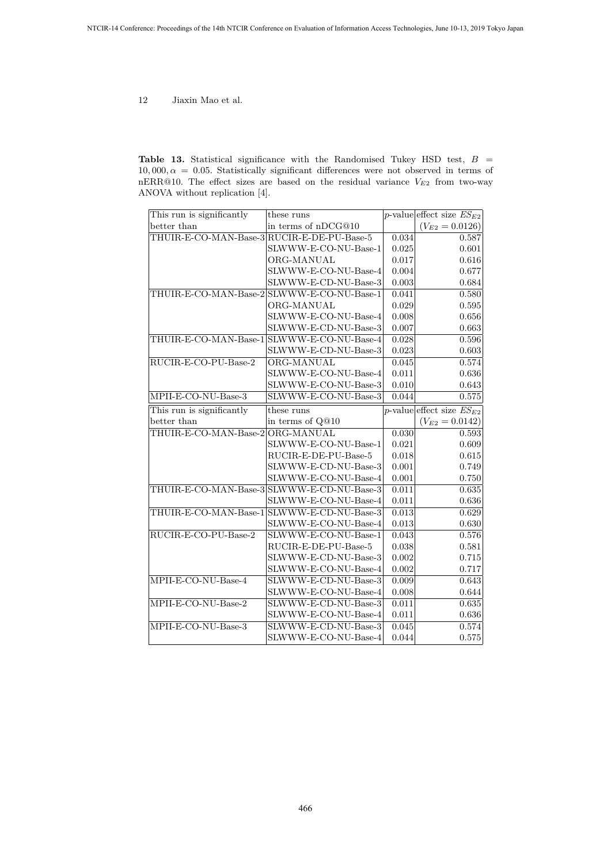**Table 13.** Statistical significance with the Randomised Tukey HSD test, *B* =  $10,000, \alpha = 0.05$ . Statistically significant differences were not observed in terms of nERR@10. The effect sizes are based on the residual variance *V<sup>E</sup>*<sup>2</sup> from two-way ANOVA without replication [4].

| This run is significantly                  | these runs                                 |       | p-value effect size $ES_{E2}$ |
|--------------------------------------------|--------------------------------------------|-------|-------------------------------|
| better than                                | in terms of nDCG@10                        |       | $(V_{E2}=0.0126)$             |
| THUIR-E-CO-MAN-Base-3 RUCIR-E-DE-PU-Base-5 |                                            | 0.034 | 0.587                         |
|                                            | SLWWW-E-CO-NU-Base-1                       | 0.025 | 0.601                         |
|                                            | ORG-MANUAL                                 | 0.017 | 0.616                         |
|                                            | SLWWW-E-CO-NU-Base-4                       | 0.004 | 0.677                         |
|                                            | SLWWW-E-CD-NU-Base-3                       | 0.003 | 0.684                         |
|                                            | THUIR-E-CO-MAN-Base-2 SLWWW-E-CO-NU-Base-1 | 0.041 | 0.580                         |
|                                            | ORG-MANUAL                                 | 0.029 | 0.595                         |
|                                            | SLWWW-E-CO-NU-Base-4                       | 0.008 | 0.656                         |
|                                            | SLWWW-E-CD-NU-Base-3                       | 0.007 | 0.663                         |
|                                            | THUIR-E-CO-MAN-Base-1 SLWWW-E-CO-NU-Base-4 | 0.028 | 0.596                         |
|                                            | SLWWW-E-CD-NU-Base-3                       | 0.023 | 0.603                         |
| RUCIR-E-CO-PU-Base-2                       | ORG-MANUAL                                 | 0.045 | 0.574                         |
|                                            | SLWWW-E-CO-NU-Base-4                       | 0.011 | 0.636                         |
|                                            | SLWWW-E-CO-NU-Base-3                       | 0.010 | 0.643                         |
| MPII-E-CO-NU-Base-3                        | SLWWW-E-CO-NU-Base-3                       | 0.044 | 0.575                         |
| This run is significantly                  | these runs                                 |       | p-value effect size $ES_{E2}$ |
| better than                                | in terms of Q@10                           |       | $(V_{E2}=0.0142)$             |
| THUIR-E-CO-MAN-Base-2                      | ORG-MANUAL                                 | 0.030 | 0.593                         |
|                                            | SLWWW-E-CO-NU-Base-1                       | 0.021 | 0.609                         |
|                                            | RUCIR-E-DE-PU-Base-5                       | 0.018 | 0.615                         |
|                                            | SLWWW-E-CD-NU-Base-3                       | 0.001 | 0.749                         |
|                                            | SLWWW-E-CO-NU-Base-4                       | 0.001 | 0.750                         |
|                                            | THUIR-E-CO-MAN-Base-3 SLWWW-E-CD-NU-Base-3 | 0.011 | 0.635                         |
|                                            | SLWWW-E-CO-NU-Base-4                       | 0.011 | 0.636                         |
| THUIR-E-CO-MAN-Base-1                      | SLWWW-E-CD-NU-Base-3                       | 0.013 | 0.629                         |
|                                            | SLWWW-E-CO-NU-Base-4                       | 0.013 | 0.630                         |
| RUCIR-E-CO-PU-Base-2                       | SLWWW-E-CO-NU-Base-1                       | 0.043 | 0.576                         |
|                                            | RUCIR-E-DE-PU-Base-5                       | 0.038 | 0.581                         |
|                                            | SLWWW-E-CD-NU-Base-3                       | 0.002 | 0.715                         |
|                                            | SLWWW-E-CO-NU-Base-4                       | 0.002 | 0.717                         |
| MPII-E-CO-NU-Base-4                        | SLWWW-E-CD-NU-Base-3                       | 0.009 | 0.643                         |
|                                            | SLWWW-E-CO-NU-Base-4                       | 0.008 | 0.644                         |
| MPII-E-CO-NU-Base-2                        | SLWWW-E-CD-NU-Base-3                       | 0.011 | 0.635                         |
|                                            | SLWWW-E-CO-NU-Base-4                       | 0.011 | 0.636                         |
| MPII-E-CO-NU-Base-3                        | SLWWW-E-CD-NU-Base-3                       | 0.045 | 0.574                         |
|                                            | SLWWW-E-CO-NU-Base-4                       | 0.044 | 0.575                         |